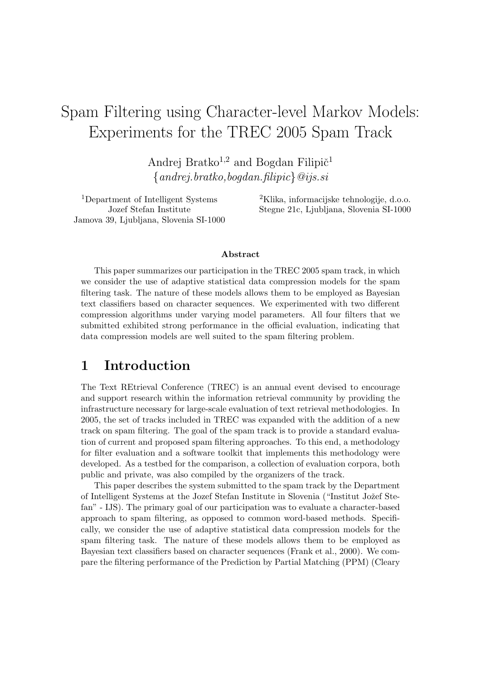# Spam Filtering using Character-level Markov Models: Experiments for the TREC 2005 Spam Track

Andrej Bratko<sup>1,2</sup> and Bogdan Filipi $\check{\mathrm{c}}$ <sup>1</sup>  ${and rei. bratko, bogdan. flipic} @ijs. si$ 

Jamova 39, Ljubljana, Slovenia SI-1000

<sup>1</sup>Department of Intelligent Systems  ${}^{2}$ Klika, informacijske tehnologije, d.o.o. Jozef Stefan Institute Stegne 21c, Ljubljana, Slovenia SI-1000

#### Abstract

This paper summarizes our participation in the TREC 2005 spam track, in which we consider the use of adaptive statistical data compression models for the spam filtering task. The nature of these models allows them to be employed as Bayesian text classifiers based on character sequences. We experimented with two different compression algorithms under varying model parameters. All four filters that we submitted exhibited strong performance in the official evaluation, indicating that data compression models are well suited to the spam filtering problem.

### 1 Introduction

The Text REtrieval Conference (TREC) is an annual event devised to encourage and support research within the information retrieval community by providing the infrastructure necessary for large-scale evaluation of text retrieval methodologies. In 2005, the set of tracks included in TREC was expanded with the addition of a new track on spam filtering. The goal of the spam track is to provide a standard evaluation of current and proposed spam filtering approaches. To this end, a methodology for filter evaluation and a software toolkit that implements this methodology were developed. As a testbed for the comparison, a collection of evaluation corpora, both public and private, was also compiled by the organizers of the track.

This paper describes the system submitted to the spam track by the Department of Intelligent Systems at the Jozef Stefan Institute in Slovenia ("Institut Jožef Stefan" - IJS). The primary goal of our participation was to evaluate a character-based approach to spam filtering, as opposed to common word-based methods. Specifically, we consider the use of adaptive statistical data compression models for the spam filtering task. The nature of these models allows them to be employed as Bayesian text classifiers based on character sequences (Frank et al., 2000). We compare the filtering performance of the Prediction by Partial Matching (PPM) (Cleary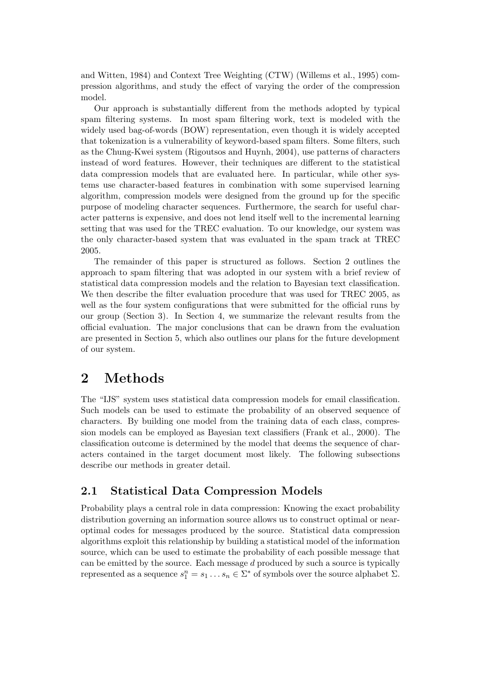and Witten, 1984) and Context Tree Weighting (CTW) (Willems et al., 1995) compression algorithms, and study the effect of varying the order of the compression model.

Our approach is substantially different from the methods adopted by typical spam filtering systems. In most spam filtering work, text is modeled with the widely used bag-of-words (BOW) representation, even though it is widely accepted that tokenization is a vulnerability of keyword-based spam filters. Some filters, such as the Chung-Kwei system (Rigoutsos and Huynh, 2004), use patterns of characters instead of word features. However, their techniques are different to the statistical data compression models that are evaluated here. In particular, while other systems use character-based features in combination with some supervised learning algorithm, compression models were designed from the ground up for the specific purpose of modeling character sequences. Furthermore, the search for useful character patterns is expensive, and does not lend itself well to the incremental learning setting that was used for the TREC evaluation. To our knowledge, our system was the only character-based system that was evaluated in the spam track at TREC 2005.

The remainder of this paper is structured as follows. Section 2 outlines the approach to spam filtering that was adopted in our system with a brief review of statistical data compression models and the relation to Bayesian text classification. We then describe the filter evaluation procedure that was used for TREC 2005, as well as the four system configurations that were submitted for the official runs by our group (Section 3). In Section 4, we summarize the relevant results from the official evaluation. The major conclusions that can be drawn from the evaluation are presented in Section 5, which also outlines our plans for the future development of our system.

### 2 Methods

The "IJS" system uses statistical data compression models for email classification. Such models can be used to estimate the probability of an observed sequence of characters. By building one model from the training data of each class, compression models can be employed as Bayesian text classifiers (Frank et al., 2000). The classification outcome is determined by the model that deems the sequence of characters contained in the target document most likely. The following subsections describe our methods in greater detail.

### 2.1 Statistical Data Compression Models

Probability plays a central role in data compression: Knowing the exact probability distribution governing an information source allows us to construct optimal or nearoptimal codes for messages produced by the source. Statistical data compression algorithms exploit this relationship by building a statistical model of the information source, which can be used to estimate the probability of each possible message that can be emitted by the source. Each message d produced by such a source is typically represented as a sequence  $s_1^n = s_1 \dots s_n \in \Sigma^*$  of symbols over the source alphabet  $\Sigma$ .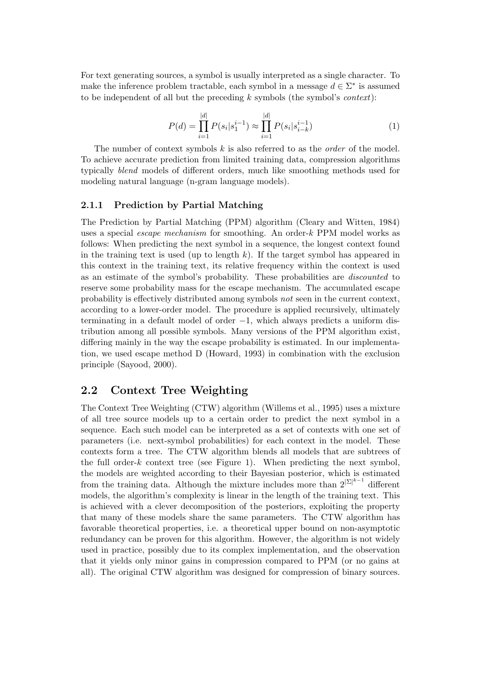For text generating sources, a symbol is usually interpreted as a single character. To make the inference problem tractable, each symbol in a message  $d \in \Sigma^*$  is assumed to be independent of all but the preceding  $k$  symbols (the symbol's *context*):

$$
P(d) = \prod_{i=1}^{|d|} P(s_i | s_1^{i-1}) \approx \prod_{i=1}^{|d|} P(s_i | s_{i-k}^{i-1})
$$
 (1)

The number of context symbols  $k$  is also referred to as the *order* of the model. To achieve accurate prediction from limited training data, compression algorithms typically blend models of different orders, much like smoothing methods used for modeling natural language (n-gram language models).

#### 2.1.1 Prediction by Partial Matching

The Prediction by Partial Matching (PPM) algorithm (Cleary and Witten, 1984) uses a special escape mechanism for smoothing. An order-k PPM model works as follows: When predicting the next symbol in a sequence, the longest context found in the training text is used (up to length  $k$ ). If the target symbol has appeared in this context in the training text, its relative frequency within the context is used as an estimate of the symbol's probability. These probabilities are discounted to reserve some probability mass for the escape mechanism. The accumulated escape probability is effectively distributed among symbols not seen in the current context, according to a lower-order model. The procedure is applied recursively, ultimately terminating in a default model of order −1, which always predicts a uniform distribution among all possible symbols. Many versions of the PPM algorithm exist, differing mainly in the way the escape probability is estimated. In our implementation, we used escape method D (Howard, 1993) in combination with the exclusion principle (Sayood, 2000).

#### 2.2 Context Tree Weighting

The Context Tree Weighting (CTW) algorithm (Willems et al., 1995) uses a mixture of all tree source models up to a certain order to predict the next symbol in a sequence. Each such model can be interpreted as a set of contexts with one set of parameters (i.e. next-symbol probabilities) for each context in the model. These contexts form a tree. The CTW algorithm blends all models that are subtrees of the full order- $k$  context tree (see Figure 1). When predicting the next symbol, the models are weighted according to their Bayesian posterior, which is estimated from the training data. Although the mixture includes more than  $2^{|\Sigma|^{k-1}}$  different models, the algorithm's complexity is linear in the length of the training text. This is achieved with a clever decomposition of the posteriors, exploiting the property that many of these models share the same parameters. The CTW algorithm has favorable theoretical properties, i.e. a theoretical upper bound on non-asymptotic redundancy can be proven for this algorithm. However, the algorithm is not widely used in practice, possibly due to its complex implementation, and the observation that it yields only minor gains in compression compared to PPM (or no gains at all). The original CTW algorithm was designed for compression of binary sources.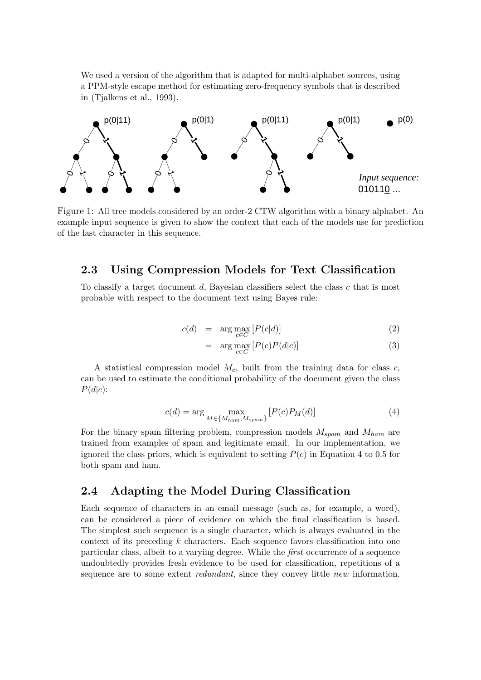We used a version of the algorithm that is adapted for multi-alphabet sources, using a PPM-style escape method for estimating zero-frequency symbols that is described in (Tjalkens et al., 1993).



Figure 1: All tree models considered by an order-2 CTW algorithm with a binary alphabet. An example input sequence is given to show the context that each of the models use for prediction of the last character in this sequence.

#### 2.3 Using Compression Models for Text Classification

To classify a target document  $d$ , Bayesian classifiers select the class  $c$  that is most probable with respect to the document text using Bayes rule:

$$
c(d) = \arg \max_{c \in C} [P(c|d)] \tag{2}
$$

$$
= \arg \max_{c \in C} \left[ P(c)P(d|c) \right] \tag{3}
$$

A statistical compression model  $M_c$ , built from the training data for class c, can be used to estimate the conditional probability of the document given the class  $P(d|c)$ :

$$
c(d) = \arg\max_{M \in \{M_{ham}, M_{spam}\}} [P(c)P_M(d)] \tag{4}
$$

For the binary spam filtering problem, compression models  $M_{spam}$  and  $M_{ham}$  are trained from examples of spam and legitimate email. In our implementation, we ignored the class priors, which is equivalent to setting  $P(c)$  in Equation 4 to 0.5 for both spam and ham.

#### 2.4 Adapting the Model During Classification

Each sequence of characters in an email message (such as, for example, a word), can be considered a piece of evidence on which the final classification is based. The simplest such sequence is a single character, which is always evaluated in the context of its preceding k characters. Each sequence favors classification into one particular class, albeit to a varying degree. While the first occurrence of a sequence undoubtedly provides fresh evidence to be used for classification, repetitions of a sequence are to some extent *redundant*, since they convey little *new* information.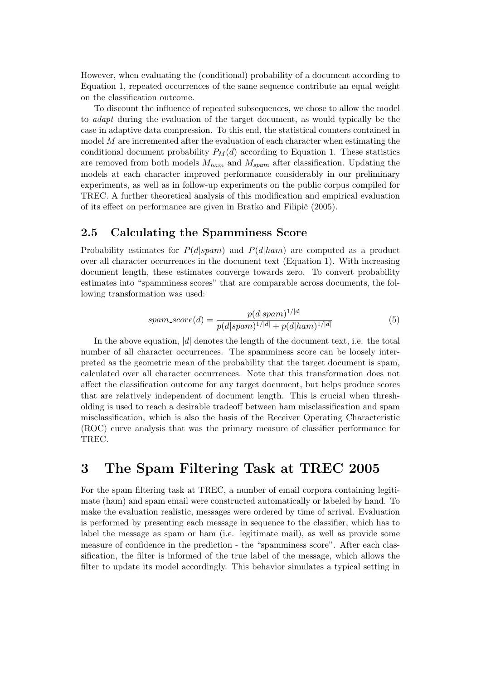However, when evaluating the (conditional) probability of a document according to Equation 1, repeated occurrences of the same sequence contribute an equal weight on the classification outcome.

To discount the influence of repeated subsequences, we chose to allow the model to adapt during the evaluation of the target document, as would typically be the case in adaptive data compression. To this end, the statistical counters contained in model M are incremented after the evaluation of each character when estimating the conditional document probability  $P_M(d)$  according to Equation 1. These statistics are removed from both models  $M_{ham}$  and  $M_{spam}$  after classification. Updating the models at each character improved performance considerably in our preliminary experiments, as well as in follow-up experiments on the public corpus compiled for TREC. A further theoretical analysis of this modification and empirical evaluation of its effect on performance are given in Bratko and Filipič  $(2005)$ .

#### 2.5 Calculating the Spamminess Score

Probability estimates for  $P(d|spam)$  and  $P(d|ham)$  are computed as a product over all character occurrences in the document text (Equation 1). With increasing document length, these estimates converge towards zero. To convert probability estimates into "spamminess scores" that are comparable across documents, the following transformation was used:

$$
spam\_score(d) = \frac{p(d|spam)^{1/|d|}}{p(d|spam)^{1/|d|} + p(d|ham)^{1/|d|}}\tag{5}
$$

In the above equation,  $|d|$  denotes the length of the document text, i.e. the total number of all character occurrences. The spamminess score can be loosely interpreted as the geometric mean of the probability that the target document is spam, calculated over all character occurrences. Note that this transformation does not affect the classification outcome for any target document, but helps produce scores that are relatively independent of document length. This is crucial when thresholding is used to reach a desirable tradeoff between ham misclassification and spam misclassification, which is also the basis of the Receiver Operating Characteristic (ROC) curve analysis that was the primary measure of classifier performance for TREC.

## 3 The Spam Filtering Task at TREC 2005

For the spam filtering task at TREC, a number of email corpora containing legitimate (ham) and spam email were constructed automatically or labeled by hand. To make the evaluation realistic, messages were ordered by time of arrival. Evaluation is performed by presenting each message in sequence to the classifier, which has to label the message as spam or ham (i.e. legitimate mail), as well as provide some measure of confidence in the prediction - the "spamminess score". After each classification, the filter is informed of the true label of the message, which allows the filter to update its model accordingly. This behavior simulates a typical setting in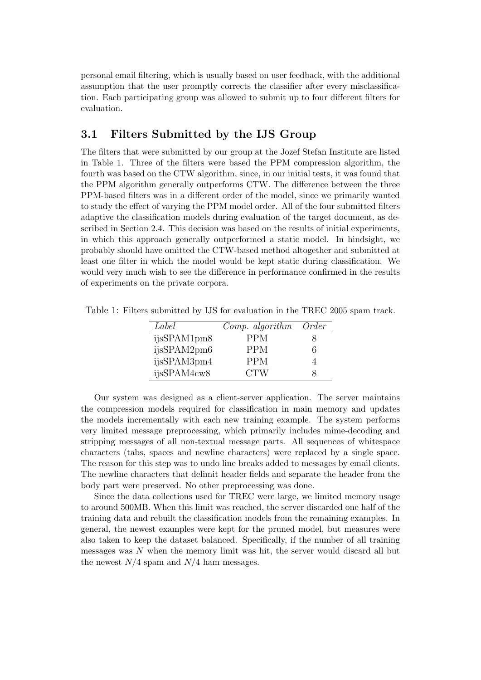personal email filtering, which is usually based on user feedback, with the additional assumption that the user promptly corrects the classifier after every misclassification. Each participating group was allowed to submit up to four different filters for evaluation.

### 3.1 Filters Submitted by the IJS Group

The filters that were submitted by our group at the Jozef Stefan Institute are listed in Table 1. Three of the filters were based the PPM compression algorithm, the fourth was based on the CTW algorithm, since, in our initial tests, it was found that the PPM algorithm generally outperforms CTW. The difference between the three PPM-based filters was in a different order of the model, since we primarily wanted to study the effect of varying the PPM model order. All of the four submitted filters adaptive the classification models during evaluation of the target document, as described in Section 2.4. This decision was based on the results of initial experiments, in which this approach generally outperformed a static model. In hindsight, we probably should have omitted the CTW-based method altogether and submitted at least one filter in which the model would be kept static during classification. We would very much wish to see the difference in performance confirmed in the results of experiments on the private corpora.

| Label       | $Comp.$ algorithm | <i>Order</i> |
|-------------|-------------------|--------------|
| ijsSPAM1pm8 | <b>PPM</b>        |              |
| ijsSPAM2pm6 | <b>PPM</b>        | 6            |
| ijsSPAM3pm4 | <b>PPM</b>        |              |
| ijsSPAM4cw8 | <b>CTW</b>        |              |

Table 1: Filters submitted by IJS for evaluation in the TREC 2005 spam track.

Our system was designed as a client-server application. The server maintains the compression models required for classification in main memory and updates the models incrementally with each new training example. The system performs very limited message preprocessing, which primarily includes mime-decoding and stripping messages of all non-textual message parts. All sequences of whitespace characters (tabs, spaces and newline characters) were replaced by a single space. The reason for this step was to undo line breaks added to messages by email clients. The newline characters that delimit header fields and separate the header from the body part were preserved. No other preprocessing was done.

Since the data collections used for TREC were large, we limited memory usage to around 500MB. When this limit was reached, the server discarded one half of the training data and rebuilt the classification models from the remaining examples. In general, the newest examples were kept for the pruned model, but measures were also taken to keep the dataset balanced. Specifically, if the number of all training messages was N when the memory limit was hit, the server would discard all but the newest  $N/4$  spam and  $N/4$  ham messages.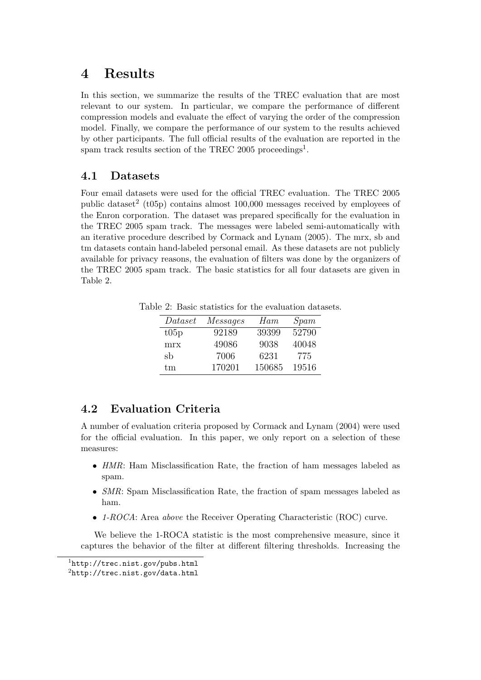# 4 Results

In this section, we summarize the results of the TREC evaluation that are most relevant to our system. In particular, we compare the performance of different compression models and evaluate the effect of varying the order of the compression model. Finally, we compare the performance of our system to the results achieved by other participants. The full official results of the evaluation are reported in the spam track results section of the TREC 2005 proceedings<sup>1</sup>.

### 4.1 Datasets

Four email datasets were used for the official TREC evaluation. The TREC 2005 public dataset<sup>2</sup> (t05p) contains almost  $100,000$  messages received by employees of the Enron corporation. The dataset was prepared specifically for the evaluation in the TREC 2005 spam track. The messages were labeled semi-automatically with an iterative procedure described by Cormack and Lynam (2005). The mrx, sb and tm datasets contain hand-labeled personal email. As these datasets are not publicly available for privacy reasons, the evaluation of filters was done by the organizers of the TREC 2005 spam track. The basic statistics for all four datasets are given in Table 2.

Table 2: Basic statistics for the evaluation datasets.

| $\mathit{Dataset}$ | <i>Messages</i> | Ham    | S <sub>p</sub> am |
|--------------------|-----------------|--------|-------------------|
| t05p               | 92189           | 39399  | 52790             |
| mrx                | 49086           | 9038   | 40048             |
| sb                 | 7006            | 6231   | 775               |
| tm                 | 170201          | 150685 | 19516             |

### 4.2 Evaluation Criteria

A number of evaluation criteria proposed by Cormack and Lynam (2004) were used for the official evaluation. In this paper, we only report on a selection of these measures:

- HMR: Ham Misclassification Rate, the fraction of ham messages labeled as spam.
- SMR: Spam Misclassification Rate, the fraction of spam messages labeled as ham.
- 1-ROCA: Area above the Receiver Operating Characteristic (ROC) curve.

We believe the 1-ROCA statistic is the most comprehensive measure, since it captures the behavior of the filter at different filtering thresholds. Increasing the

 $1$ http://trec.nist.gov/pubs.html

<sup>2</sup>http://trec.nist.gov/data.html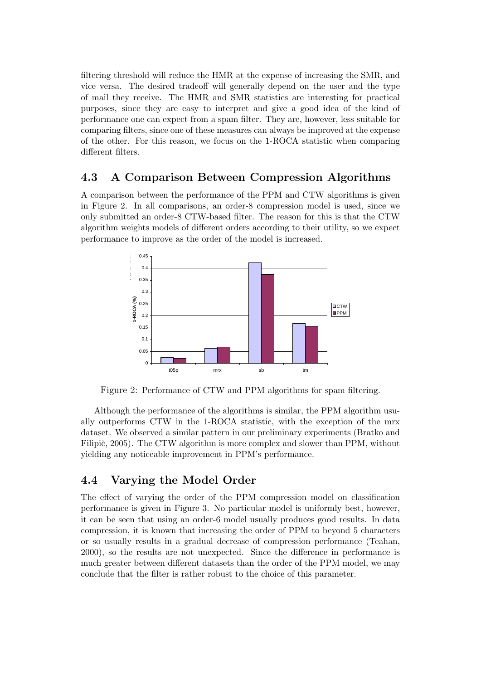filtering threshold will reduce the HMR at the expense of increasing the SMR, and vice versa. The desired tradeoff will generally depend on the user and the type of mail they receive. The HMR and SMR statistics are interesting for practical purposes, since they are easy to interpret and give a good idea of the kind of performance one can expect from a spam filter. They are, however, less suitable for comparing filters, since one of these measures can always be improved at the expense of the other. For this reason, we focus on the 1-ROCA statistic when comparing different filters.

### 4.3 A Comparison Between Compression Algorithms

A comparison between the performance of the PPM and CTW algorithms is given in Figure 2. In all comparisons, an order-8 compression model is used, since we only submitted an order-8 CTW-based filter. The reason for this is that the CTW algorithm weights models of different orders according to their utility, so we expect performance to improve as the order of the model is increased.



Figure 2: Performance of CTW and PPM algorithms for spam filtering.

Although the performance of the algorithms is similar, the PPM algorithm usually outperforms CTW in the 1-ROCA statistic, with the exception of the mrx dataset. We observed a similar pattern in our preliminary experiments (Bratko and Filipič, 2005). The CTW algorithm is more complex and slower than PPM, without yielding any noticeable improvement in PPM's performance.

### 4.4 Varying the Model Order

The effect of varying the order of the PPM compression model on classification performance is given in Figure 3. No particular model is uniformly best, however, it can be seen that using an order-6 model usually produces good results. In data compression, it is known that increasing the order of PPM to beyond 5 characters or so usually results in a gradual decrease of compression performance (Teahan, 2000), so the results are not unexpected. Since the difference in performance is much greater between different datasets than the order of the PPM model, we may conclude that the filter is rather robust to the choice of this parameter.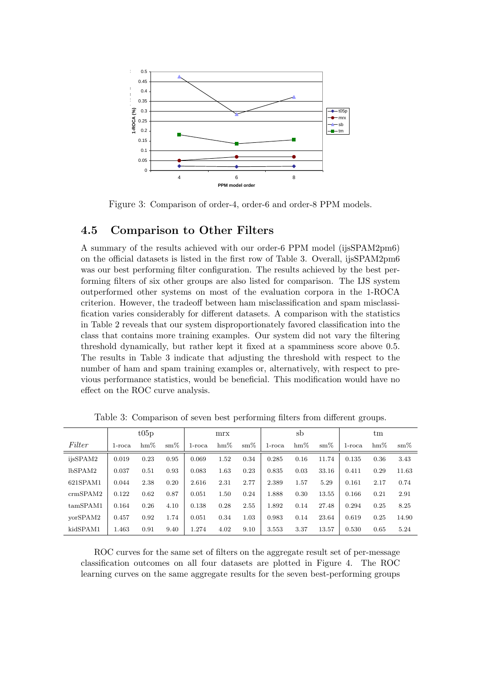

Figure 3: Comparison of order-4, order-6 and order-8 PPM models.

#### 4.5 Comparison to Other Filters

A summary of the results achieved with our order-6 PPM model (ijsSPAM2pm6) on the official datasets is listed in the first row of Table 3. Overall, ijsSPAM2pm6 was our best performing filter configuration. The results achieved by the best performing filters of six other groups are also listed for comparison. The IJS system outperformed other systems on most of the evaluation corpora in the 1-ROCA criterion. However, the tradeoff between ham misclassification and spam misclassification varies considerably for different datasets. A comparison with the statistics in Table 2 reveals that our system disproportionately favored classification into the class that contains more training examples. Our system did not vary the filtering threshold dynamically, but rather kept it fixed at a spamminess score above 0.5. The results in Table 3 indicate that adjusting the threshold with respect to the number of ham and spam training examples or, alternatively, with respect to previous performance statistics, would be beneficial. This modification would have no effect on the ROC curve analysis.

|          | t05p      |        |               | mrx       |        | sb            |        |        | tm            |           |        |               |
|----------|-----------|--------|---------------|-----------|--------|---------------|--------|--------|---------------|-----------|--------|---------------|
| Filter   | $1$ -roca | $hm\%$ | $\text{sm}\%$ | $1$ -roca | $hm\%$ | $\text{sm}\%$ | 1-roca | $hm\%$ | $\text{sm}\%$ | $1$ -roca | $hm\%$ | $\text{sm}\%$ |
| ijsSPAM2 | 0.019     | 0.23   | 0.95          | 0.069     | 1.52   | 0.34          | 0.285  | 0.16   | 11.74         | 0.135     | 0.36   | 3.43          |
| lbSPAM2  | 0.037     | 0.51   | 0.93          | 0.083     | 1.63   | 0.23          | 0.835  | 0.03   | 33.16         | 0.411     | 0.29   | 11.63         |
| 621SPAM1 | 0.044     | 2.38   | 0.20          | 2.616     | 2.31   | 2.77          | 2.389  | 1.57   | 5.29          | 0.161     | 2.17   | 0.74          |
| crmSPAM2 | 0.122     | 0.62   | 0.87          | 0.051     | 1.50   | 0.24          | 1.888  | 0.30   | 13.55         | 0.166     | 0.21   | 2.91          |
| tamSPAM1 | 0.164     | 0.26   | 4.10          | 0.138     | 0.28   | 2.55          | 1.892  | 0.14   | 27.48         | 0.294     | 0.25   | 8.25          |
| vorSPAM2 | 0.457     | 0.92   | 1.74          | 0.051     | 0.34   | 1.03          | 0.983  | 0.14   | 23.64         | 0.619     | 0.25   | 14.90         |
| kidSPAM1 | 1.463     | 0.91   | 9.40          | 1.274     | 4.02   | 9.10          | 3.553  | 3.37   | 13.57         | 0.530     | 0.65   | 5.24          |

Table 3: Comparison of seven best performing filters from different groups.

ROC curves for the same set of filters on the aggregate result set of per-message classification outcomes on all four datasets are plotted in Figure 4. The ROC learning curves on the same aggregate results for the seven best-performing groups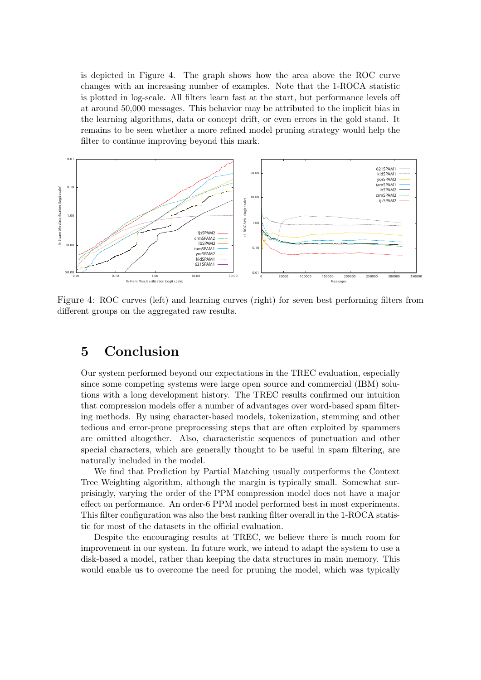is depicted in Figure 4. The graph shows how the area above the ROC curve changes with an increasing number of examples. Note that the 1-ROCA statistic is plotted in log-scale. All filters learn fast at the start, but performance levels off at around 50,000 messages. This behavior may be attributed to the implicit bias in the learning algorithms, data or concept drift, or even errors in the gold stand. It remains to be seen whether a more refined model pruning strategy would help the filter to continue improving beyond this mark.



Figure 4: ROC curves (left) and learning curves (right) for seven best performing filters from different groups on the aggregated raw results.

# 5 Conclusion

Our system performed beyond our expectations in the TREC evaluation, especially since some competing systems were large open source and commercial (IBM) solutions with a long development history. The TREC results confirmed our intuition that compression models offer a number of advantages over word-based spam filtering methods. By using character-based models, tokenization, stemming and other tedious and error-prone preprocessing steps that are often exploited by spammers are omitted altogether. Also, characteristic sequences of punctuation and other special characters, which are generally thought to be useful in spam filtering, are naturally included in the model.

We find that Prediction by Partial Matching usually outperforms the Context Tree Weighting algorithm, although the margin is typically small. Somewhat surprisingly, varying the order of the PPM compression model does not have a major effect on performance. An order-6 PPM model performed best in most experiments. This filter configuration was also the best ranking filter overall in the 1-ROCA statistic for most of the datasets in the official evaluation.

Despite the encouraging results at TREC, we believe there is much room for improvement in our system. In future work, we intend to adapt the system to use a disk-based a model, rather than keeping the data structures in main memory. This would enable us to overcome the need for pruning the model, which was typically